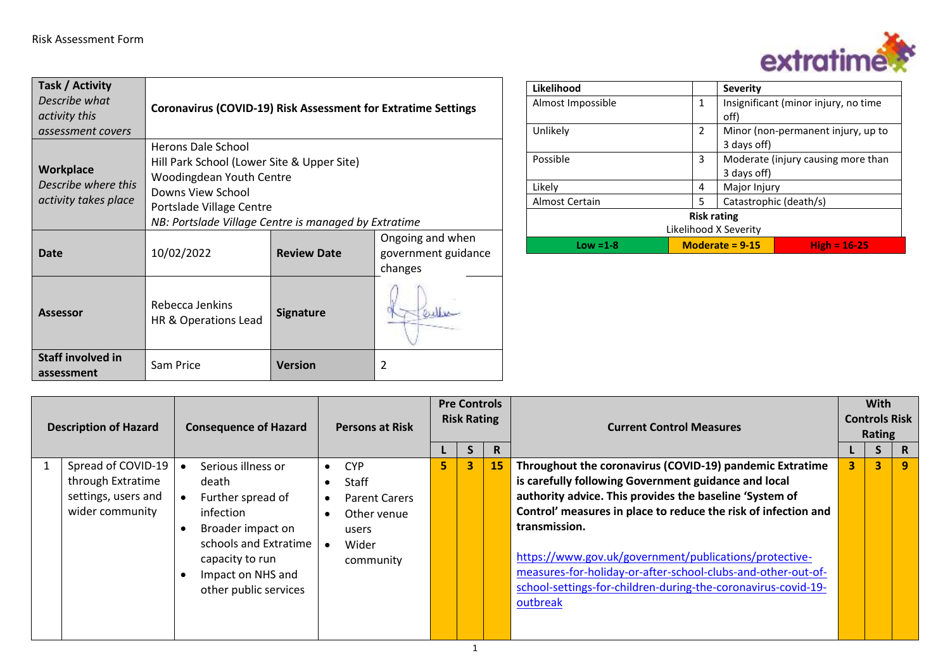

| Task / Activity<br>Describe what<br>activity this<br>assessment covers | <b>Coronavirus (COVID-19) Risk Assessment for Extratime Settings</b>       |                                                                                                                                |                                                    |  |  |  |  |  |  |
|------------------------------------------------------------------------|----------------------------------------------------------------------------|--------------------------------------------------------------------------------------------------------------------------------|----------------------------------------------------|--|--|--|--|--|--|
| Workplace<br>Describe where this<br>activity takes place               | <b>Herons Dale School</b><br>Downs View School<br>Portslade Village Centre | Hill Park School (Lower Site & Upper Site)<br>Woodingdean Youth Centre<br>NB: Portslade Village Centre is managed by Extratime |                                                    |  |  |  |  |  |  |
| Date                                                                   | 10/02/2022                                                                 | <b>Review Date</b>                                                                                                             | Ongoing and when<br>government guidance<br>changes |  |  |  |  |  |  |
| <b>Assessor</b>                                                        | Rebecca Jenkins<br>HR & Operations Lead                                    | <b>Signature</b>                                                                                                               |                                                    |  |  |  |  |  |  |
| <b>Staff involved in</b><br>assessment                                 | Sam Price                                                                  | <b>Version</b>                                                                                                                 | $\mathfrak{p}$                                     |  |  |  |  |  |  |

| Likelihood        |                    | <b>Severity</b>                              |  |  |  |
|-------------------|--------------------|----------------------------------------------|--|--|--|
| Almost Impossible | $\mathbf{1}$       | Insignificant (minor injury, no time<br>off) |  |  |  |
| Unlikely          | 2                  | Minor (non-permanent injury, up to           |  |  |  |
|                   |                    | 3 days off)                                  |  |  |  |
| Possible          | 3                  | Moderate (injury causing more than           |  |  |  |
|                   |                    | 3 days off)                                  |  |  |  |
| Likely            | 4                  | Major Injury                                 |  |  |  |
| Almost Certain    | 5                  | Catastrophic (death/s)                       |  |  |  |
|                   | <b>Risk rating</b> |                                              |  |  |  |
|                   |                    | Likelihood X Severity                        |  |  |  |
| $Low = 1-8$       |                    | Moderate $= 9-15$<br>$High = 16-25$          |  |  |  |

| <b>Description of Hazard</b> |                                                                                   | <b>Consequence of Hazard</b>                                                                                                                                                        |  | <b>Persons at Risk</b>                                                                           |   | <b>Pre Controls</b><br><b>Risk Rating</b> |    | <b>Current Control Measures</b>                                                                                                                                                                                                                                                                                                                                                                                                                                       |    | With<br><b>Controls Risk</b><br>Rating |    |  |  |
|------------------------------|-----------------------------------------------------------------------------------|-------------------------------------------------------------------------------------------------------------------------------------------------------------------------------------|--|--------------------------------------------------------------------------------------------------|---|-------------------------------------------|----|-----------------------------------------------------------------------------------------------------------------------------------------------------------------------------------------------------------------------------------------------------------------------------------------------------------------------------------------------------------------------------------------------------------------------------------------------------------------------|----|----------------------------------------|----|--|--|
|                              |                                                                                   |                                                                                                                                                                                     |  |                                                                                                  |   | S.                                        | R. |                                                                                                                                                                                                                                                                                                                                                                                                                                                                       |    | S                                      | R. |  |  |
|                              | Spread of COVID-19<br>through Extratime<br>settings, users and<br>wider community | Serious illness or<br>death<br>Further spread of<br><i>infection</i><br>Broader impact on<br>schools and Extratime<br>capacity to run<br>Impact on NHS and<br>other public services |  | <b>CYP</b><br><b>Staff</b><br><b>Parent Carers</b><br>Other venue<br>users<br>Wider<br>community | 5 | $\overline{\mathbf{3}}$                   | 15 | Throughout the coronavirus (COVID-19) pandemic Extratime<br>is carefully following Government guidance and local<br>authority advice. This provides the baseline 'System of<br>Control' measures in place to reduce the risk of infection and<br>transmission.<br>https://www.gov.uk/government/publications/protective-<br>measures-for-holiday-or-after-school-clubs-and-other-out-of-<br>school-settings-for-children-during-the-coronavirus-covid-19-<br>outbreak | 3. | 3                                      | 9  |  |  |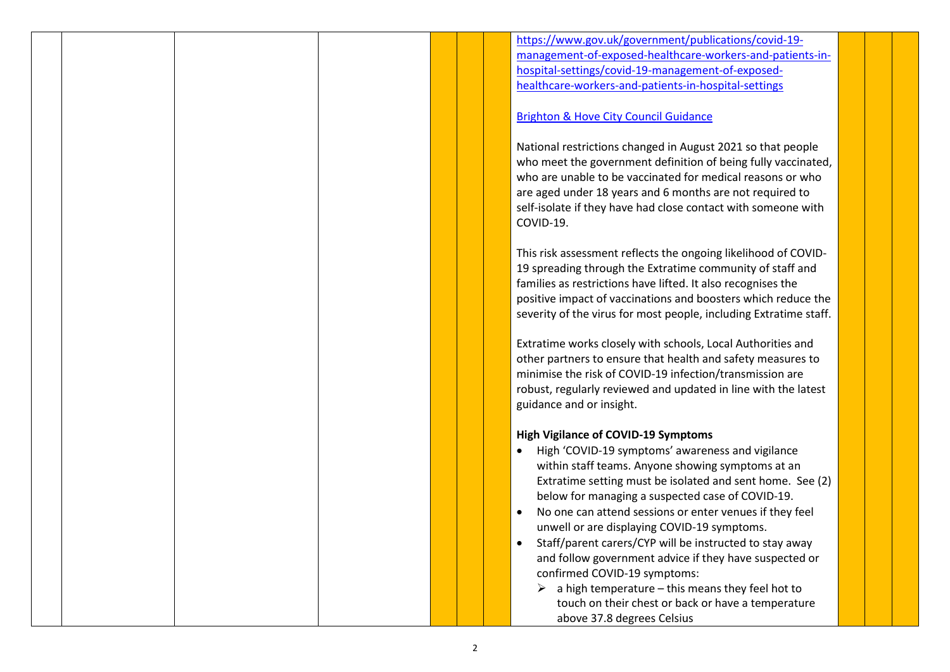[https://www.gov.uk/government/publications/covid-19](https://www.gov.uk/government/publications/covid-19-management-of-exposed-healthcare-workers-and-patients-in-hospital-settings/covid-19-management-of-exposed-healthcare-workers-and-patients-in-hospital-settings) [management-of-exposed-healthcare-workers-and-patients-in](https://www.gov.uk/government/publications/covid-19-management-of-exposed-healthcare-workers-and-patients-in-hospital-settings/covid-19-management-of-exposed-healthcare-workers-and-patients-in-hospital-settings)[hospital-settings/covid-19-management-of-exposed](https://www.gov.uk/government/publications/covid-19-management-of-exposed-healthcare-workers-and-patients-in-hospital-settings/covid-19-management-of-exposed-healthcare-workers-and-patients-in-hospital-settings)[healthcare-workers-and-patients-in-hospital-settings](https://www.gov.uk/government/publications/covid-19-management-of-exposed-healthcare-workers-and-patients-in-hospital-settings/covid-19-management-of-exposed-healthcare-workers-and-patients-in-hospital-settings)

#### [Brighton & Hove City Council Guidance](https://www.brighton-hove.gov.uk/covid-19-key-statistics-brighton-hove/current-alert-level-and-guidance)

National restrictions changed in August 2021 so that people who meet the government definition of being fully vaccinated, who are unable to be vaccinated for medical reasons or who are aged under 18 years and 6 months are not required to self-isolate if they have had close contact with someone with COVID-19.

This risk assessment reflects the ongoing likelihood of COVID-19 spreading through the Extratime community of staff and families as restrictions have lifted. It also recognises the positive impact of vaccinations and boosters which reduce the severity of the virus for most people, including Extratime staff.

Extratime works closely with schools, Local Authorities and other partners to ensure that health and safety measures to minimise the risk of COVID-19 infection/transmission are robust, regularly reviewed and updated in line with the latest guidance and or insight.

#### **High Vigilance of COVID-19 Symptoms**

- High 'COVID-19 symptoms' awareness and vigilance within staff teams. Anyone showing symptoms at an Extratime setting must be isolated and sent home. See (2) below for managing a suspected case of COVID-19.
- No one can attend sessions or enter venues if they feel unwell or are displaying COVID-19 symptoms.
- Staff/parent carers/CYP will be instructed to stay away and follow government advice if they have suspected or confirmed COVID-19 symptoms:
	- $\triangleright$  a high temperature this means they feel hot to touch on their chest or back or have a temperature above 37.8 degrees Celsius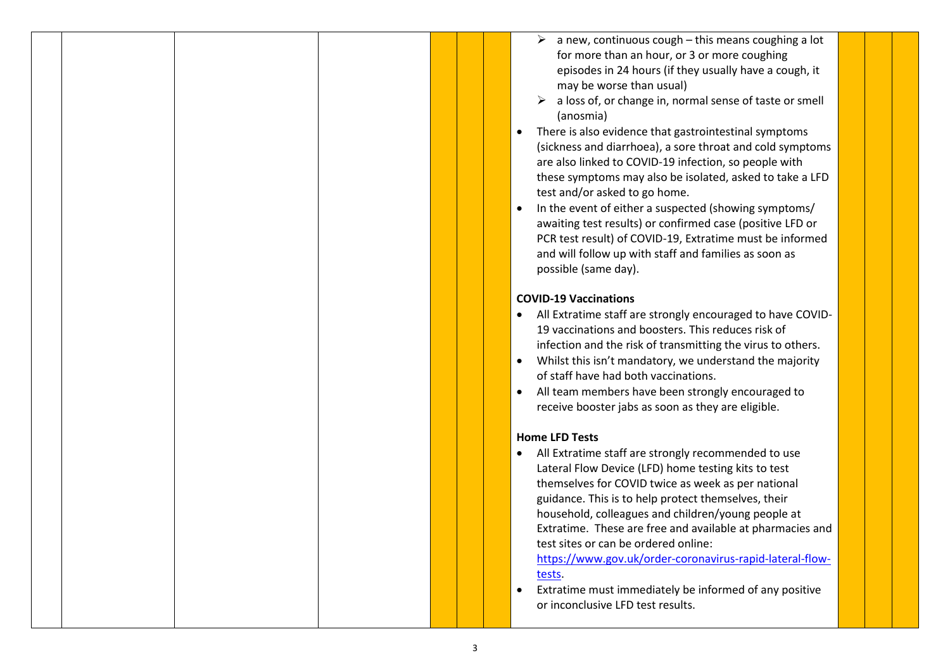- $\geq$  a new, continuous cough this means coughing a lot for more than an hour, or 3 or more coughing episodes in 24 hours (if they usually have a cough, it may be worse than usual)
- $\geq$  a loss of, or change in, normal sense of taste or smell (anosmia)
- There is also evidence that gastrointestinal symptoms (sickness and diarrhoea), a sore throat and cold symptoms are also linked to COVID-19 infection, so people with these symptoms may also be isolated, asked to take a LFD test and/or asked to go home.
- In the event of either a suspected (showing symptoms/ awaiting test results) or confirmed case (positive LFD or PCR test result) of COVID-19, Extratime must be informed and will follow up with staff and families as soon as possible (same day).

### **COVID-19 Vaccinations**

- All Extratime staff are strongly encouraged to have COVID-19 vaccinations and boosters. This reduces risk of infection and the risk of transmitting the virus to others.
- Whilst this isn't mandatory, we understand the majority of staff have had both vaccinations.
- All team members have been strongly encouraged to receive booster jabs as soon as they are eligible.

## **Home LFD Tests**

 All Extratime staff are strongly recommended to use Lateral Flow Device (LFD) home testing kits to test themselves for COVID twice as week as per national guidance. This is to help protect themselves, their household, colleagues and children/young people at Extratime. These are free and available at pharmacies and test sites or can be ordered online:

[https://www.gov.uk/order-coronavirus-rapid-lateral-flow](https://www.gov.uk/order-coronavirus-rapid-lateral-flow-tests)[tests.](https://www.gov.uk/order-coronavirus-rapid-lateral-flow-tests)

 Extratime must immediately be informed of any positive or inconclusive LFD test results.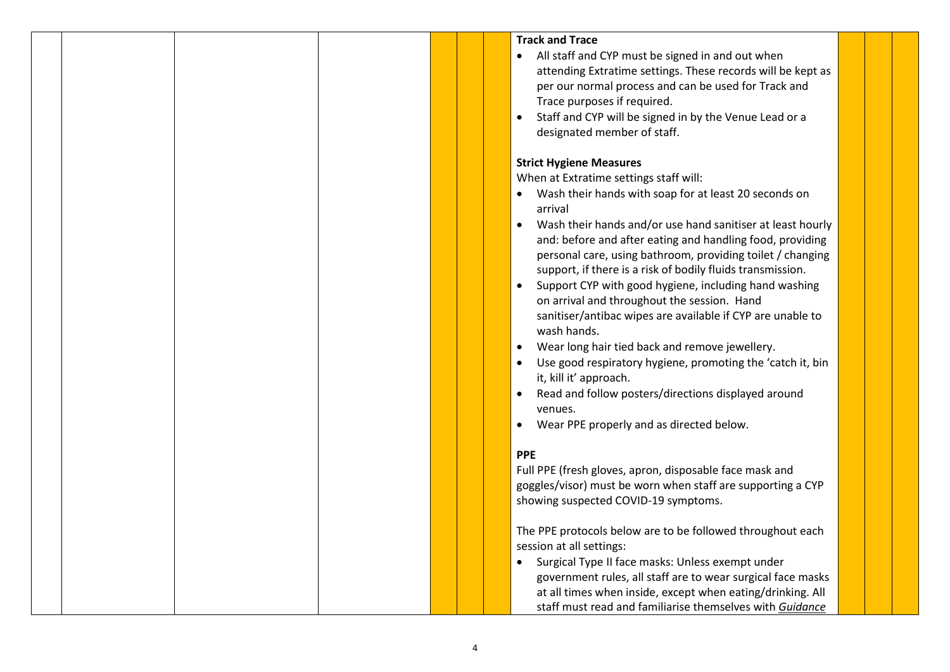| <b>Track and Trace</b>                                                  |
|-------------------------------------------------------------------------|
| All staff and CYP must be signed in and out when                        |
| attending Extratime settings. These records will be kept as             |
| per our normal process and can be used for Track and                    |
| Trace purposes if required.                                             |
| Staff and CYP will be signed in by the Venue Lead or a                  |
| designated member of staff.                                             |
|                                                                         |
| <b>Strict Hygiene Measures</b>                                          |
| When at Extratime settings staff will:                                  |
| Wash their hands with soap for at least 20 seconds on                   |
| arrival                                                                 |
| Wash their hands and/or use hand sanitiser at least hourly<br>$\bullet$ |
| and: before and after eating and handling food, providing               |
| personal care, using bathroom, providing toilet / changing              |
| support, if there is a risk of bodily fluids transmission.              |
| Support CYP with good hygiene, including hand washing<br>$\bullet$      |
| on arrival and throughout the session. Hand                             |
| sanitiser/antibac wipes are available if CYP are unable to              |
| wash hands.                                                             |
| Wear long hair tied back and remove jewellery.                          |
| Use good respiratory hygiene, promoting the 'catch it, bin              |
| it, kill it' approach.                                                  |
| Read and follow posters/directions displayed around                     |
| venues.                                                                 |
| Wear PPE properly and as directed below.                                |
|                                                                         |
| <b>PPE</b><br>Full PPE (fresh gloves, apron, disposable face mask and   |
| goggles/visor) must be worn when staff are supporting a CYP             |
| showing suspected COVID-19 symptoms.                                    |
|                                                                         |
| The PPE protocols below are to be followed throughout each              |
| session at all settings:                                                |
| Surgical Type II face masks: Unless exempt under                        |
| government rules, all staff are to wear surgical face masks             |
| at all times when inside, except when eating/drinking. All              |
| staff must read and familiarise themselves with Guidance                |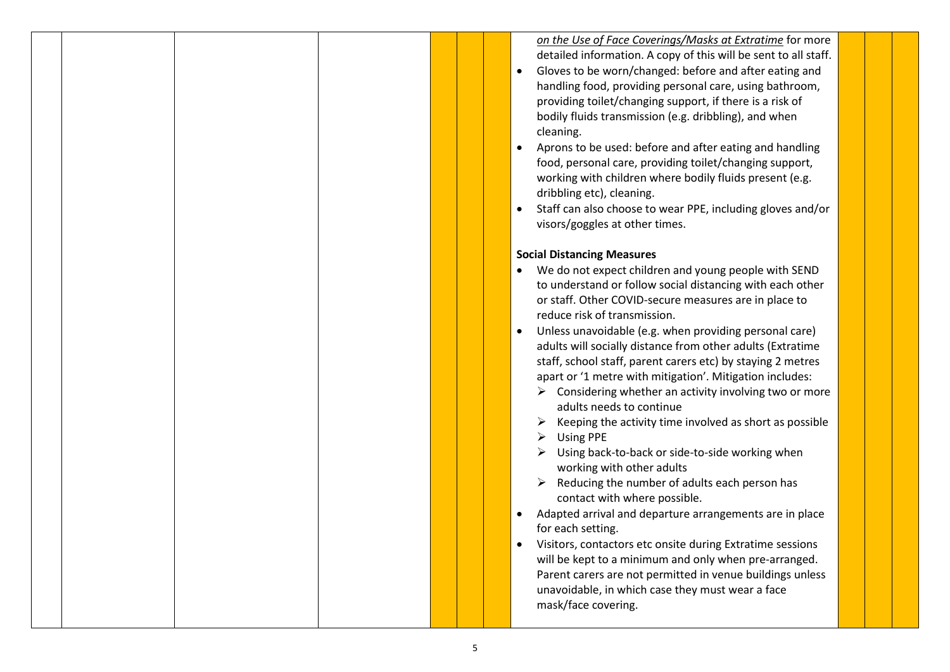*on the Use of Face Coverings/Masks at Extratime* for more detailed information. A copy of this will be sent to all staff.

- Gloves to be worn/changed: before and after eating and handling food, providing personal care, using bathroom, providing toilet/changing support, if there is a risk of bodily fluids transmission (e.g. dribbling), and when cleaning.
- Aprons to be used: before and after eating and handling food, personal care, providing toilet/changing support, working with children where bodily fluids present (e.g. dribbling etc), cleaning.
- Staff can also choose to wear PPE, including gloves and/or visors/goggles at other times.

## **Social Distancing Measures**

- We do not expect children and young people with SEND to understand or follow social distancing with each other or staff. Other COVID-secure measures are in place to reduce risk of transmission.
- Unless unavoidable (e.g. when providing personal care) adults will socially distance from other adults (Extratime staff, school staff, parent carers etc) by staying 2 metres apart or '1 metre with mitigation'. Mitigation includes:
	- $\triangleright$  Considering whether an activity involving two or more adults needs to continue
	- $\triangleright$  Keeping the activity time involved as short as possible
	- Using PPE
	- $\triangleright$  Using back-to-back or side-to-side working when working with other adults
	- $\triangleright$  Reducing the number of adults each person has contact with where possible.
- Adapted arrival and departure arrangements are in place for each setting.
- Visitors, contactors etc onsite during Extratime sessions will be kept to a minimum and only when pre-arranged. Parent carers are not permitted in venue buildings unless unavoidable, in which case they must wear a face mask/face covering.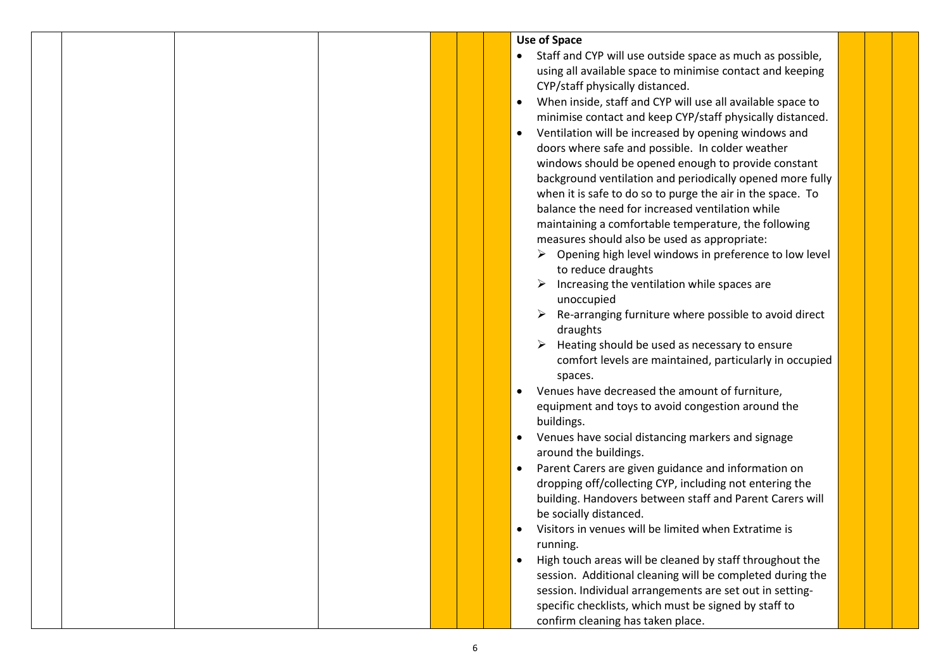|  |  | <b>Use of Space</b>                                                     |
|--|--|-------------------------------------------------------------------------|
|  |  | Staff and CYP will use outside space as much as possible,               |
|  |  | using all available space to minimise contact and keeping               |
|  |  | CYP/staff physically distanced.                                         |
|  |  | When inside, staff and CYP will use all available space to<br>$\bullet$ |
|  |  | minimise contact and keep CYP/staff physically distanced.               |
|  |  | Ventilation will be increased by opening windows and                    |
|  |  | doors where safe and possible. In colder weather                        |
|  |  | windows should be opened enough to provide constant                     |
|  |  | background ventilation and periodically opened more fully               |
|  |  | when it is safe to do so to purge the air in the space. To              |
|  |  | balance the need for increased ventilation while                        |
|  |  | maintaining a comfortable temperature, the following                    |
|  |  | measures should also be used as appropriate:                            |
|  |  | Opening high level windows in preference to low level                   |
|  |  | to reduce draughts                                                      |
|  |  | Increasing the ventilation while spaces are                             |
|  |  | unoccupied                                                              |
|  |  | Re-arranging furniture where possible to avoid direct                   |
|  |  | draughts                                                                |
|  |  | Heating should be used as necessary to ensure                           |
|  |  | comfort levels are maintained, particularly in occupied                 |
|  |  | spaces.                                                                 |
|  |  | Venues have decreased the amount of furniture,                          |
|  |  | equipment and toys to avoid congestion around the                       |
|  |  | buildings.                                                              |
|  |  | Venues have social distancing markers and signage                       |
|  |  | around the buildings.                                                   |
|  |  | Parent Carers are given guidance and information on<br>$\bullet$        |
|  |  | dropping off/collecting CYP, including not entering the                 |
|  |  | building. Handovers between staff and Parent Carers will                |
|  |  | be socially distanced.                                                  |
|  |  | Visitors in venues will be limited when Extratime is                    |
|  |  | running.                                                                |
|  |  | High touch areas will be cleaned by staff throughout the                |
|  |  | session. Additional cleaning will be completed during the               |
|  |  | session. Individual arrangements are set out in setting-                |
|  |  | specific checklists, which must be signed by staff to                   |
|  |  | confirm cleaning has taken place.                                       |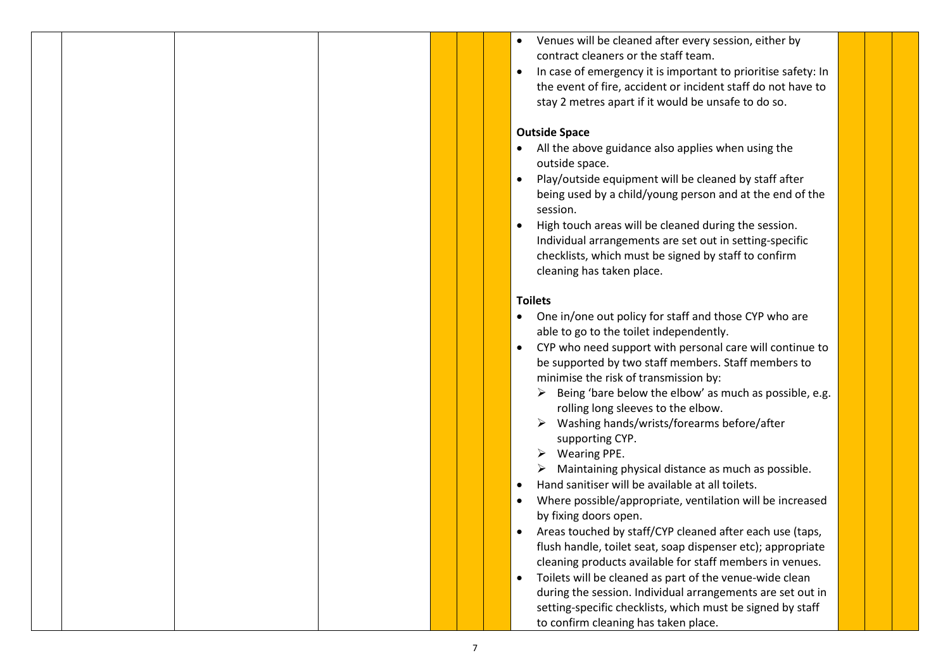Venues will be cleaned after every session, either by contract cleaners or the staff team. • In case of emergency it is important to prioritise safety: In the event of fire, accident or incident staff do not have to stay 2 metres apart if it would be unsafe to do so. **Outside Space** All the above guidance also applies when using the outside space. Play/outside equipment will be cleaned by staff after being used by a child/young person and at the end of the session.  $\bullet$  High touch areas will be cleaned during the session. Individual arrangements are set out in setting-specific checklists, which must be signed by staff to confirm cleaning has taken place. **Toilets** One in/one out policy for staff and those CYP who are able to go to the toilet independently. CYP who need support with personal care will continue to be supported by two staff members. Staff members to minimise the risk of transmission by:  $\triangleright$  Being 'bare below the elbow' as much as possible, e.g. rolling long sleeves to the elbow.  $\triangleright$  Washing hands/wrists/forearms before/after supporting CYP.  $\triangleright$  Wearing PPE.  $\triangleright$  Maintaining physical distance as much as possible. Hand sanitiser will be available at all toilets. Where possible/appropriate, ventilation will be increased by fixing doors open. Areas touched by staff/CYP cleaned after each use (taps, flush handle, toilet seat, soap dispenser etc); appropriate cleaning products available for staff members in venues. Toilets will be cleaned as part of the venue-wide clean during the session. Individual arrangements are set out in setting-specific checklists, which must be signed by staff to confirm cleaning has taken place.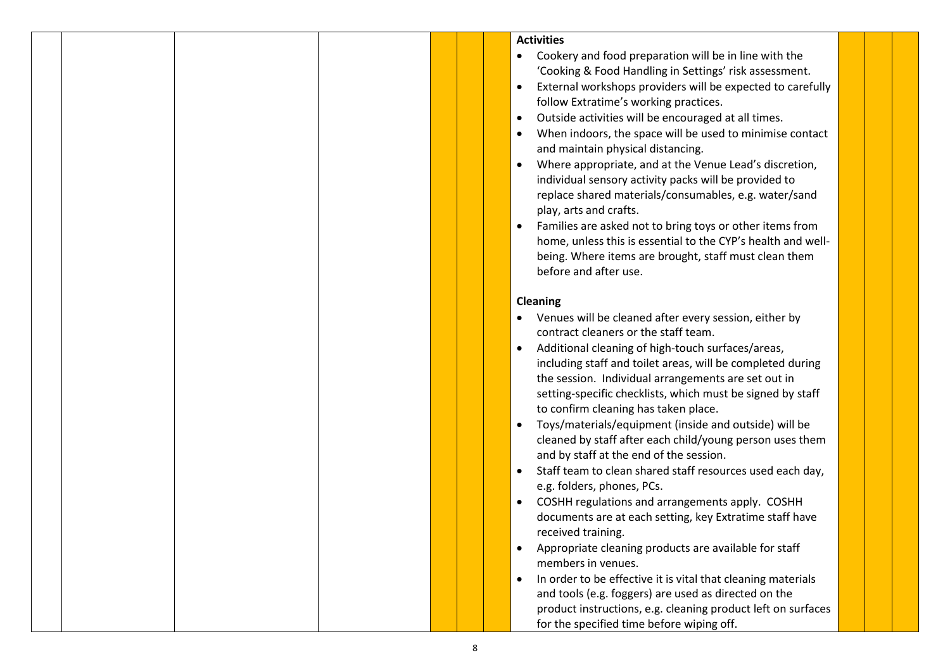|  | <b>Activities</b>                                                                                                                        |
|--|------------------------------------------------------------------------------------------------------------------------------------------|
|  | Cookery and food preparation will be in line with the                                                                                    |
|  | 'Cooking & Food Handling in Settings' risk assessment.                                                                                   |
|  | External workshops providers will be expected to carefully                                                                               |
|  | follow Extratime's working practices.                                                                                                    |
|  | Outside activities will be encouraged at all times.<br>$\bullet$                                                                         |
|  | When indoors, the space will be used to minimise contact<br>and maintain physical distancing.                                            |
|  | Where appropriate, and at the Venue Lead's discretion,                                                                                   |
|  | individual sensory activity packs will be provided to<br>replace shared materials/consumables, e.g. water/sand<br>play, arts and crafts. |
|  | Families are asked not to bring toys or other items from                                                                                 |
|  | home, unless this is essential to the CYP's health and well-                                                                             |
|  | being. Where items are brought, staff must clean them                                                                                    |
|  | before and after use.                                                                                                                    |
|  |                                                                                                                                          |
|  | Cleaning                                                                                                                                 |
|  | Venues will be cleaned after every session, either by                                                                                    |
|  | contract cleaners or the staff team.                                                                                                     |
|  | Additional cleaning of high-touch surfaces/areas,                                                                                        |
|  | including staff and toilet areas, will be completed during                                                                               |
|  | the session. Individual arrangements are set out in                                                                                      |
|  | setting-specific checklists, which must be signed by staff                                                                               |
|  | to confirm cleaning has taken place.                                                                                                     |
|  | Toys/materials/equipment (inside and outside) will be                                                                                    |
|  | cleaned by staff after each child/young person uses them                                                                                 |
|  | and by staff at the end of the session.                                                                                                  |
|  | Staff team to clean shared staff resources used each day,                                                                                |
|  | e.g. folders, phones, PCs.                                                                                                               |
|  | COSHH regulations and arrangements apply. COSHH<br>$\bullet$                                                                             |
|  | documents are at each setting, key Extratime staff have                                                                                  |
|  | received training.                                                                                                                       |
|  | Appropriate cleaning products are available for staff<br>٠                                                                               |
|  | members in venues.                                                                                                                       |
|  | In order to be effective it is vital that cleaning materials                                                                             |
|  | and tools (e.g. foggers) are used as directed on the                                                                                     |
|  | product instructions, e.g. cleaning product left on surfaces                                                                             |
|  | for the specified time before wiping off.                                                                                                |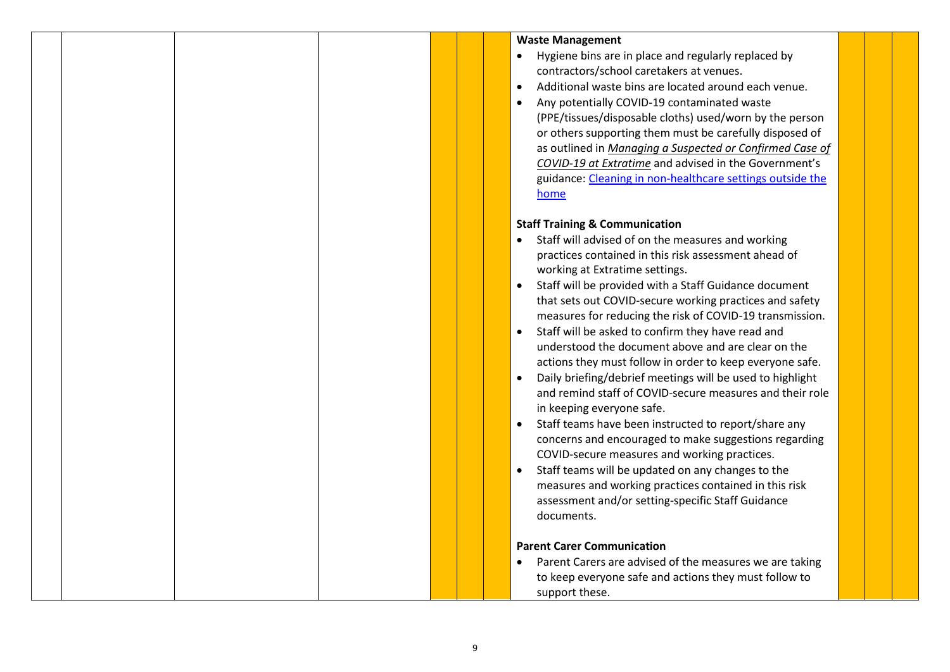# **Waste Management** Hygiene bins are in place and regularly replaced by contractors/school caretakers at venues. Additional waste bins are located around each venue. Any potentially COVID-19 contaminated waste (PPE/tissues/disposable cloths) used/worn by the person or others supporting them must be carefully disposed of as outlined in *Managing a Suspected or Confirmed Case of COVID-19 at Extratime* and advised in the Government's guidance: [Cleaning in non-healthcare settings outside the](https://www.gov.uk/government/publications/covid-19-decontamination-in-non-healthcare-settings/covid-19-decontamination-in-non-healthcare-settings)  [home](https://www.gov.uk/government/publications/covid-19-decontamination-in-non-healthcare-settings/covid-19-decontamination-in-non-healthcare-settings)  **Staff Training & Communication** Staff will advised of on the measures and working practices contained in this risk assessment ahead of working at Extratime settings. Staff will be provided with a Staff Guidance document that sets out COVID-secure working practices and safety measures for reducing the risk of COVID-19 transmission. Staff will be asked to confirm they have read and understood the document above and are clear on the actions they must follow in order to keep everyone safe. Daily briefing/debrief meetings will be used to highlight and remind staff of COVID-secure measures and their role in keeping everyone safe. Staff teams have been instructed to report/share any concerns and encouraged to make suggestions regarding COVID-secure measures and working practices. • Staff teams will be updated on any changes to the measures and working practices contained in this risk assessment and/or setting-specific Staff Guidance documents. **Parent Carer Communication** Parent Carers are advised of the measures we are taking to keep everyone safe and actions they must follow to support these.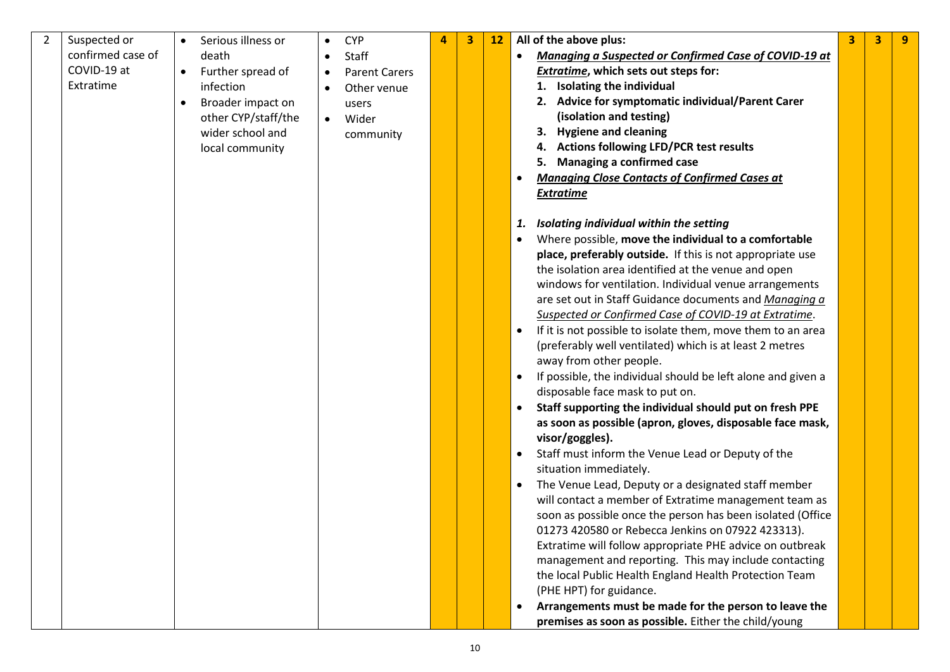| $\overline{2}$ | Suspected or      | $\bullet$ | Serious illness or  | $\bullet$ | <b>CYP</b>           | 4 | 3 | <b>12</b> | All of the above plus:                                                       | 3 | 3 | 9 |
|----------------|-------------------|-----------|---------------------|-----------|----------------------|---|---|-----------|------------------------------------------------------------------------------|---|---|---|
|                | confirmed case of |           | death               |           | Staff                |   |   |           | Managing a Suspected or Confirmed Case of COVID-19 at                        |   |   |   |
|                | COVID-19 at       |           | Further spread of   |           | <b>Parent Carers</b> |   |   |           | Extratime, which sets out steps for:                                         |   |   |   |
|                | Extratime         |           | infection           |           | Other venue          |   |   |           | Isolating the individual<br>1.                                               |   |   |   |
|                |                   |           | Broader impact on   |           | users                |   |   |           | Advice for symptomatic individual/Parent Carer<br>2.                         |   |   |   |
|                |                   |           | other CYP/staff/the | $\bullet$ | Wider                |   |   |           | (isolation and testing)                                                      |   |   |   |
|                |                   |           | wider school and    |           | community            |   |   |           | <b>Hygiene and cleaning</b>                                                  |   |   |   |
|                |                   |           | local community     |           |                      |   |   |           | <b>Actions following LFD/PCR test results</b><br>4.                          |   |   |   |
|                |                   |           |                     |           |                      |   |   |           | <b>Managing a confirmed case</b><br>5.                                       |   |   |   |
|                |                   |           |                     |           |                      |   |   |           | <b>Managing Close Contacts of Confirmed Cases at</b>                         |   |   |   |
|                |                   |           |                     |           |                      |   |   |           | <b>Extratime</b>                                                             |   |   |   |
|                |                   |           |                     |           |                      |   |   |           | Isolating individual within the setting<br>1.                                |   |   |   |
|                |                   |           |                     |           |                      |   |   |           | Where possible, move the individual to a comfortable                         |   |   |   |
|                |                   |           |                     |           |                      |   |   |           | place, preferably outside. If this is not appropriate use                    |   |   |   |
|                |                   |           |                     |           |                      |   |   |           | the isolation area identified at the venue and open                          |   |   |   |
|                |                   |           |                     |           |                      |   |   |           | windows for ventilation. Individual venue arrangements                       |   |   |   |
|                |                   |           |                     |           |                      |   |   |           | are set out in Staff Guidance documents and Managing a                       |   |   |   |
|                |                   |           |                     |           |                      |   |   |           | Suspected or Confirmed Case of COVID-19 at Extratime.                        |   |   |   |
|                |                   |           |                     |           |                      |   |   |           | If it is not possible to isolate them, move them to an area<br>$\bullet$     |   |   |   |
|                |                   |           |                     |           |                      |   |   |           | (preferably well ventilated) which is at least 2 metres                      |   |   |   |
|                |                   |           |                     |           |                      |   |   |           | away from other people.                                                      |   |   |   |
|                |                   |           |                     |           |                      |   |   |           | If possible, the individual should be left alone and given a<br>$\bullet$    |   |   |   |
|                |                   |           |                     |           |                      |   |   |           | disposable face mask to put on.                                              |   |   |   |
|                |                   |           |                     |           |                      |   |   |           | Staff supporting the individual should put on fresh PPE                      |   |   |   |
|                |                   |           |                     |           |                      |   |   |           | as soon as possible (apron, gloves, disposable face mask,<br>visor/goggles). |   |   |   |
|                |                   |           |                     |           |                      |   |   |           | Staff must inform the Venue Lead or Deputy of the                            |   |   |   |
|                |                   |           |                     |           |                      |   |   |           | situation immediately.                                                       |   |   |   |
|                |                   |           |                     |           |                      |   |   |           | The Venue Lead, Deputy or a designated staff member<br>$\bullet$             |   |   |   |
|                |                   |           |                     |           |                      |   |   |           | will contact a member of Extratime management team as                        |   |   |   |
|                |                   |           |                     |           |                      |   |   |           | soon as possible once the person has been isolated (Office                   |   |   |   |
|                |                   |           |                     |           |                      |   |   |           | 01273 420580 or Rebecca Jenkins on 07922 423313).                            |   |   |   |
|                |                   |           |                     |           |                      |   |   |           | Extratime will follow appropriate PHE advice on outbreak                     |   |   |   |
|                |                   |           |                     |           |                      |   |   |           | management and reporting. This may include contacting                        |   |   |   |
|                |                   |           |                     |           |                      |   |   |           | the local Public Health England Health Protection Team                       |   |   |   |
|                |                   |           |                     |           |                      |   |   |           | (PHE HPT) for guidance.                                                      |   |   |   |
|                |                   |           |                     |           |                      |   |   |           | Arrangements must be made for the person to leave the<br>$\bullet$           |   |   |   |
|                |                   |           |                     |           |                      |   |   |           | premises as soon as possible. Either the child/young                         |   |   |   |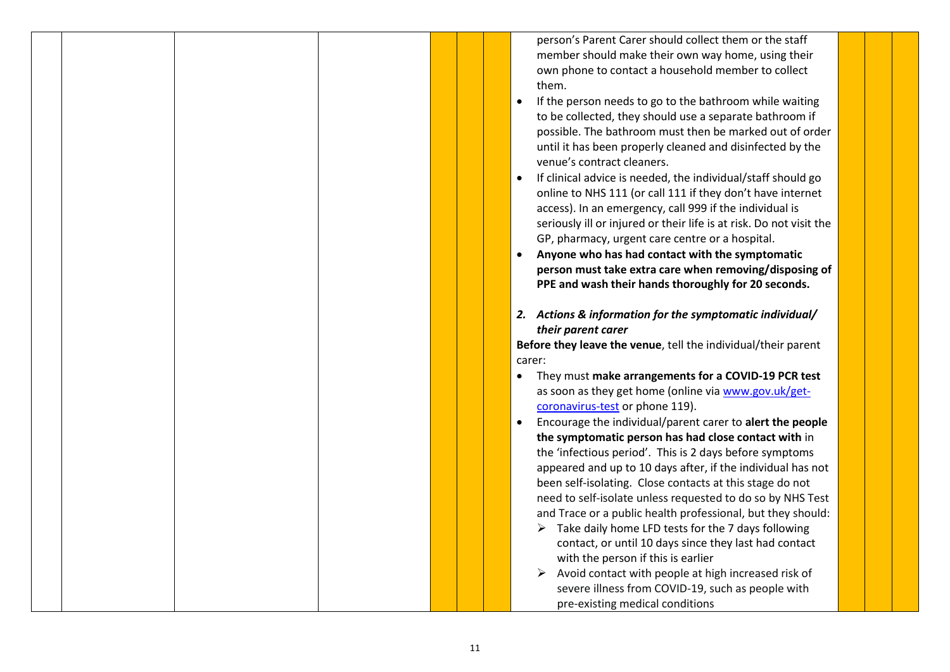person's Parent Carer should collect them or the staff member should make their own way home, using their own phone to contact a household member to collect them.

- If the person needs to go to the bathroom while waiting to be collected, they should use a separate bathroom if possible. The bathroom must then be marked out of order until it has been properly cleaned and disinfected by the venue's contract cleaners.
- If clinical advice is needed, the individual/staff should go online to [NHS 111](https://111.nhs.uk/) (or call 111 if they don't have internet access). In an emergency, call 999 if the individual is seriously ill or injured or their life is at risk. Do not visit the GP, pharmacy, urgent care centre or a hospital.
- **Anyone who has had contact with the symptomatic person must take extra care when removing/disposing of PPE and wash their hands thoroughly for 20 seconds.**
- *2. Actions & information for the symptomatic individual/ their parent carer*

**Before they leave the venue**, tell the individual/their parent carer:

- They must **make arrangements for a COVID-19 PCR test** as soon as they get home (online via [www.gov.uk/get](http://www.gov.uk/get-coronavirus-test)[coronavirus-test](http://www.gov.uk/get-coronavirus-test) or phone 119).
- Encourage the individual/parent carer to **alert the people the symptomatic person has had close contact with** in the 'infectious period'. This is 2 days before symptoms appeared and up to 10 days after, if the individual has not been self-isolating. Close contacts at this stage do not need to self-isolate unless requested to do so by NHS Test and Trace or a public health professional, but they should:
	- $\triangleright$  Take daily home LFD tests for the 7 days following contact, or until 10 days since they last had contact with the person if this is earlier
	- $\triangleright$  Avoid contact with people at high increased risk of severe illness from COVID-19, such as people with pre-existing medical conditions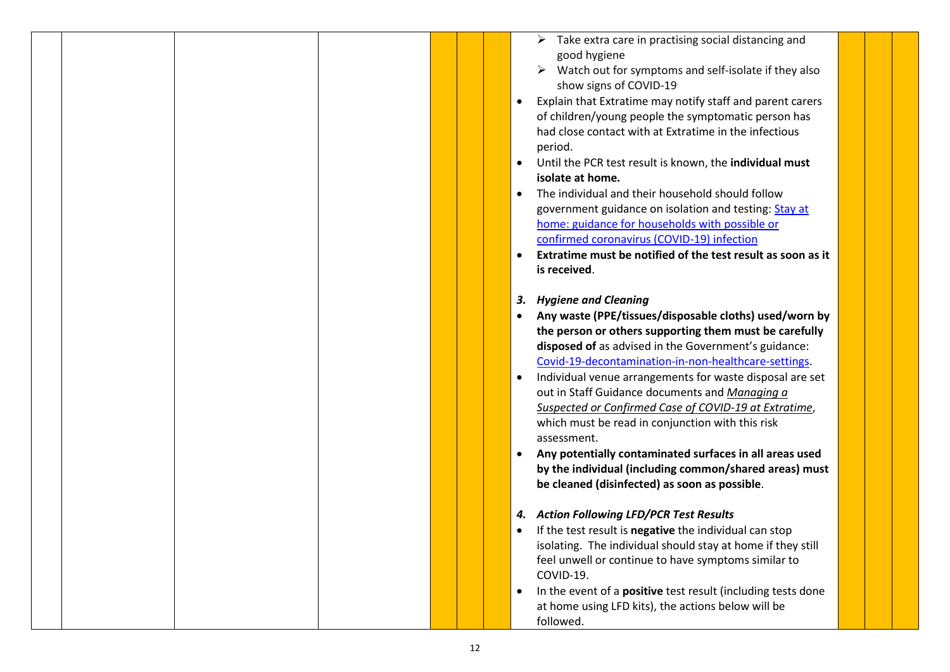|  |  |  |           | Take extra care in practising social distancing and<br>➤              |
|--|--|--|-----------|-----------------------------------------------------------------------|
|  |  |  |           | good hygiene                                                          |
|  |  |  |           | $\triangleright$ Watch out for symptoms and self-isolate if they also |
|  |  |  |           | show signs of COVID-19                                                |
|  |  |  |           |                                                                       |
|  |  |  |           | Explain that Extratime may notify staff and parent carers             |
|  |  |  |           | of children/young people the symptomatic person has                   |
|  |  |  |           | had close contact with at Extratime in the infectious                 |
|  |  |  |           | period.                                                               |
|  |  |  | $\bullet$ | Until the PCR test result is known, the individual must               |
|  |  |  |           | isolate at home.                                                      |
|  |  |  | $\bullet$ | The individual and their household should follow                      |
|  |  |  |           | government guidance on isolation and testing: Stay at                 |
|  |  |  |           | home: guidance for households with possible or                        |
|  |  |  |           | confirmed coronavirus (COVID-19) infection                            |
|  |  |  | $\bullet$ | Extratime must be notified of the test result as soon as it           |
|  |  |  |           | is received.                                                          |
|  |  |  |           |                                                                       |
|  |  |  |           | <b>Hygiene and Cleaning</b><br>3.                                     |
|  |  |  |           | Any waste (PPE/tissues/disposable cloths) used/worn by                |
|  |  |  |           | the person or others supporting them must be carefully                |
|  |  |  |           | disposed of as advised in the Government's guidance:                  |
|  |  |  |           | Covid-19-decontamination-in-non-healthcare-settings.                  |
|  |  |  |           |                                                                       |
|  |  |  | $\bullet$ | Individual venue arrangements for waste disposal are set              |
|  |  |  |           | out in Staff Guidance documents and Managing a                        |
|  |  |  |           | Suspected or Confirmed Case of COVID-19 at Extratime,                 |
|  |  |  |           | which must be read in conjunction with this risk                      |
|  |  |  |           | assessment.                                                           |
|  |  |  | $\bullet$ | Any potentially contaminated surfaces in all areas used               |
|  |  |  |           | by the individual (including common/shared areas) must                |
|  |  |  |           | be cleaned (disinfected) as soon as possible.                         |
|  |  |  |           |                                                                       |
|  |  |  |           | <b>Action Following LFD/PCR Test Results</b><br>4.                    |
|  |  |  | $\bullet$ | If the test result is negative the individual can stop                |
|  |  |  |           | isolating. The individual should stay at home if they still           |
|  |  |  |           | feel unwell or continue to have symptoms similar to                   |
|  |  |  |           | COVID-19.                                                             |
|  |  |  | $\bullet$ | In the event of a positive test result (including tests done          |
|  |  |  |           | at home using LFD kits), the actions below will be                    |
|  |  |  |           | followed.                                                             |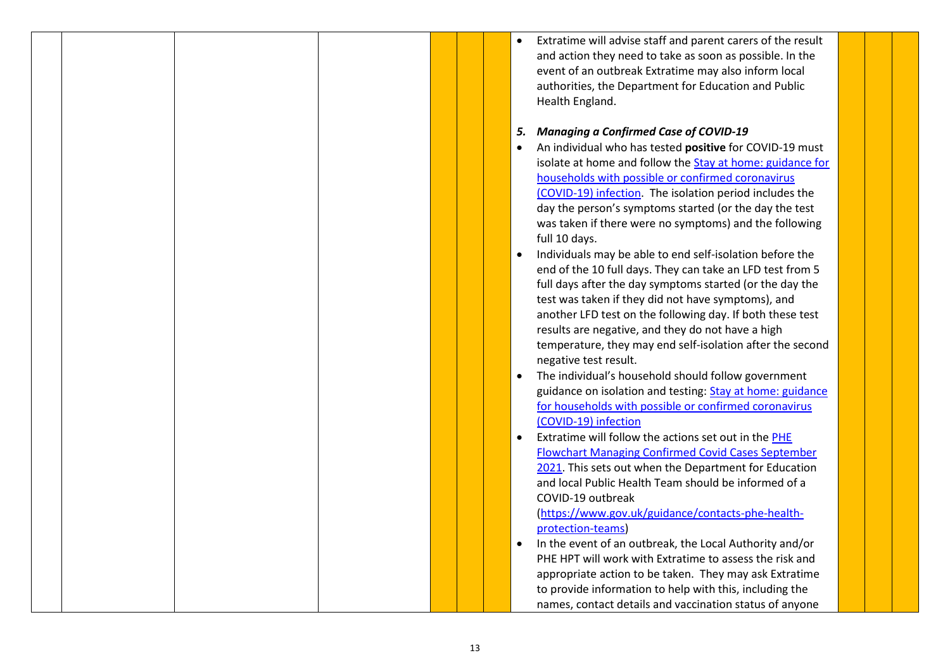| Extratime will advise staff and parent carers of the result |
|-------------------------------------------------------------|
| and action they need to take as soon as possible. In the    |
| event of an outbreak Extratime may also inform local        |
| authorities, the Department for Education and Public        |
| Health England.                                             |
|                                                             |

- *5. Managing a Confirmed Case of COVID-19*
- An individual who has tested **positive** for COVID-19 must isolate at home and follow th[e Stay at home: guidance for](https://www.gov.uk/government/publications/covid-19-stay-at-home-guidance/stay-at-home-guidance-for-households-with-possible-coronavirus-covid-19-infection)  [households with possible or confirmed coronavirus](https://www.gov.uk/government/publications/covid-19-stay-at-home-guidance/stay-at-home-guidance-for-households-with-possible-coronavirus-covid-19-infection)  [\(COVID-19\) infection.](https://www.gov.uk/government/publications/covid-19-stay-at-home-guidance/stay-at-home-guidance-for-households-with-possible-coronavirus-covid-19-infection) The isolation period includes the day the person's symptoms started (or the day the test was taken if there were no symptoms) and the following full 10 days.
- Individuals may be able to end self-isolation before the end of the 10 full days. They can take an LFD test from 5 full days after the day symptoms started (or the day the test was taken if they did not have symptoms), and another LFD test on the following day. If both these test results are negative, and they do not have a high temperature, they may end self-isolation after the second negative test result.
- The individual's household should follow government guidance on isolation and testing[: Stay at home: guidance](https://www.gov.uk/government/publications/covid-19-stay-at-home-guidance/stay-at-home-guidance-for-households-with-possible-coronavirus-covid-19-infection)  [for households with possible or confirmed coronavirus](https://www.gov.uk/government/publications/covid-19-stay-at-home-guidance/stay-at-home-guidance-for-households-with-possible-coronavirus-covid-19-infection)  [\(COVID-19\) infection](https://www.gov.uk/government/publications/covid-19-stay-at-home-guidance/stay-at-home-guidance-for-households-with-possible-coronavirus-covid-19-infection)
- Extratime will follow the actions set out in th[e PHE](https://extratime.sharepoint.com/Shared%20Documents/Team/Coronavirus%20Information/PHE%20Flowchart%20Managing%20Confirmed%20Covid%20Cases%20Flowchart%20September%202021.pdf) [Flowchart Managing Confirmed Covid Cases September](https://extratime.sharepoint.com/Shared%20Documents/Team/Coronavirus%20Information/PHE%20Flowchart%20Managing%20Confirmed%20Covid%20Cases%20Flowchart%20September%202021.pdf)  [2021.](https://extratime.sharepoint.com/Shared%20Documents/Team/Coronavirus%20Information/PHE%20Flowchart%20Managing%20Confirmed%20Covid%20Cases%20Flowchart%20September%202021.pdf) This sets out when the Department for Education and local Public Health Team should be informed of a COVID-19 outbreak

[\(https://www.gov.uk/guidance/contacts-phe-health](https://www.gov.uk/guidance/contacts-phe-health-protection-teams)[protection-teams\)](https://www.gov.uk/guidance/contacts-phe-health-protection-teams)

 In the event of an outbreak, the Local Authority and/or PHE HPT will work with Extratime to assess the risk and appropriate action to be taken. They may ask Extratime to provide information to help with this, including the names, contact details and vaccination status of anyone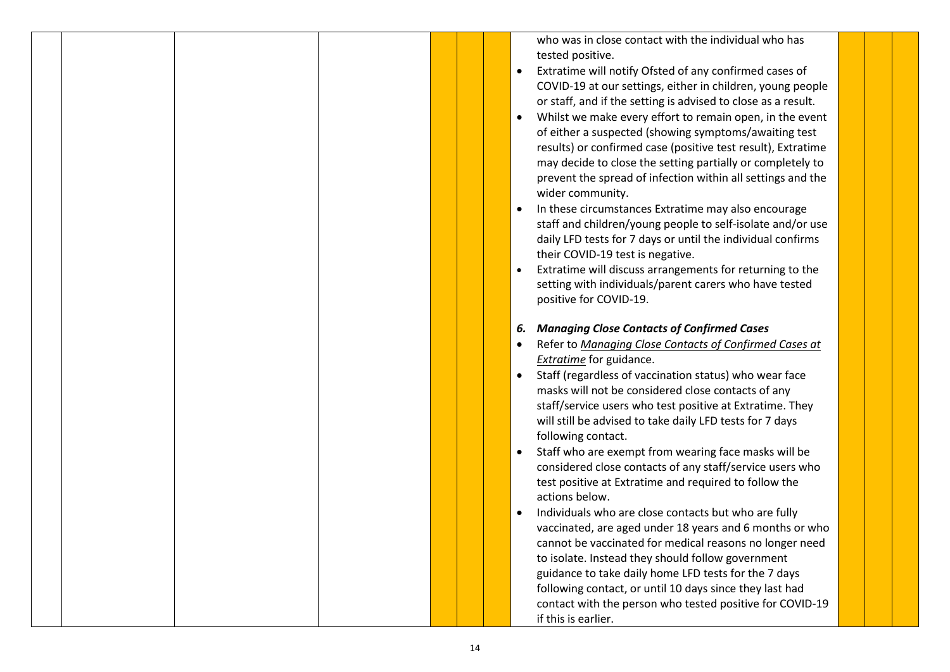who was in close contact with the individual who has tested positive. Extratime will notify Ofsted of any confirmed cases of COVID-19 at our settings, either in children, young people or staff, and if the setting is advised to close as a result. Whilst we make every effort to remain open, in the event of either a suspected (showing symptoms/awaiting test results) or confirmed case (positive test result), Extratime may decide to close the setting partially or completely to prevent the spread of infection within all settings and the wider community. In these circumstances Extratime may also encourage staff and children/young people to self-isolate and/or use daily LFD tests for 7 days or until the individual confirms their COVID-19 test is negative. Extratime will discuss arrangements for returning to the setting with individuals/parent carers who have tested positive for COVID-19. *6. Managing Close Contacts of Confirmed Cases* Refer to *Managing Close Contacts of Confirmed Cases at Extratime* for guidance. Staff (regardless of vaccination status) who wear face masks will not be considered close contacts of any staff/service users who test positive at Extratime. They will still be advised to take daily LFD tests for 7 days following contact. Staff who are exempt from wearing face masks will be considered close contacts of any staff/service users who test positive at Extratime and required to follow the actions below. Individuals who are close contacts but who are fully vaccinated, are aged under 18 years and 6 months or who cannot be vaccinated for medical reasons no longer need to isolate. Instead they should follow government guidance to take daily home LFD tests for the 7 days following contact, or until 10 days since they last had contact with the person who tested positive for COVID-19 if this is earlier.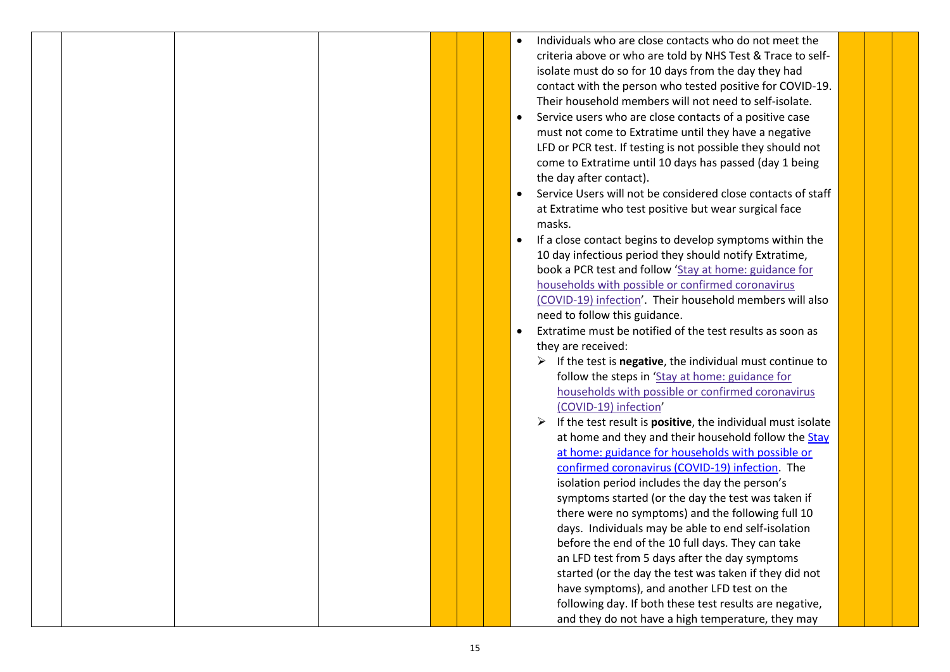|  |  |  | $\bullet$ | Individuals who are close contacts who do not meet the                            |
|--|--|--|-----------|-----------------------------------------------------------------------------------|
|  |  |  |           | criteria above or who are told by NHS Test & Trace to self-                       |
|  |  |  |           | isolate must do so for 10 days from the day they had                              |
|  |  |  |           | contact with the person who tested positive for COVID-19.                         |
|  |  |  |           | Their household members will not need to self-isolate.                            |
|  |  |  | $\bullet$ | Service users who are close contacts of a positive case                           |
|  |  |  |           | must not come to Extratime until they have a negative                             |
|  |  |  |           | LFD or PCR test. If testing is not possible they should not                       |
|  |  |  |           | come to Extratime until 10 days has passed (day 1 being                           |
|  |  |  |           | the day after contact).                                                           |
|  |  |  |           | Service Users will not be considered close contacts of staff                      |
|  |  |  |           | at Extratime who test positive but wear surgical face                             |
|  |  |  |           | masks.                                                                            |
|  |  |  |           | If a close contact begins to develop symptoms within the                          |
|  |  |  |           | 10 day infectious period they should notify Extratime,                            |
|  |  |  |           | book a PCR test and follow 'Stay at home: guidance for                            |
|  |  |  |           | households with possible or confirmed coronavirus                                 |
|  |  |  |           | (COVID-19) infection'. Their household members will also                          |
|  |  |  |           | need to follow this guidance.                                                     |
|  |  |  |           | Extratime must be notified of the test results as soon as                         |
|  |  |  |           | they are received:                                                                |
|  |  |  |           | $\triangleright$ If the test is <b>negative</b> , the individual must continue to |
|  |  |  |           | follow the steps in 'Stay at home: guidance for                                   |
|  |  |  |           | households with possible or confirmed coronavirus                                 |
|  |  |  |           | (COVID-19) infection'                                                             |
|  |  |  |           | If the test result is <b>positive</b> , the individual must isolate               |
|  |  |  |           | at home and they and their household follow the Stay                              |
|  |  |  |           | at home: guidance for households with possible or                                 |
|  |  |  |           | confirmed coronavirus (COVID-19) infection. The                                   |
|  |  |  |           | isolation period includes the day the person's                                    |
|  |  |  |           | symptoms started (or the day the test was taken if                                |
|  |  |  |           | there were no symptoms) and the following full 10                                 |
|  |  |  |           | days. Individuals may be able to end self-isolation                               |
|  |  |  |           | before the end of the 10 full days. They can take                                 |
|  |  |  |           | an LFD test from 5 days after the day symptoms                                    |
|  |  |  |           | started (or the day the test was taken if they did not                            |
|  |  |  |           | have symptoms), and another LFD test on the                                       |
|  |  |  |           | following day. If both these test results are negative,                           |
|  |  |  |           | and they do not have a high temperature, they may                                 |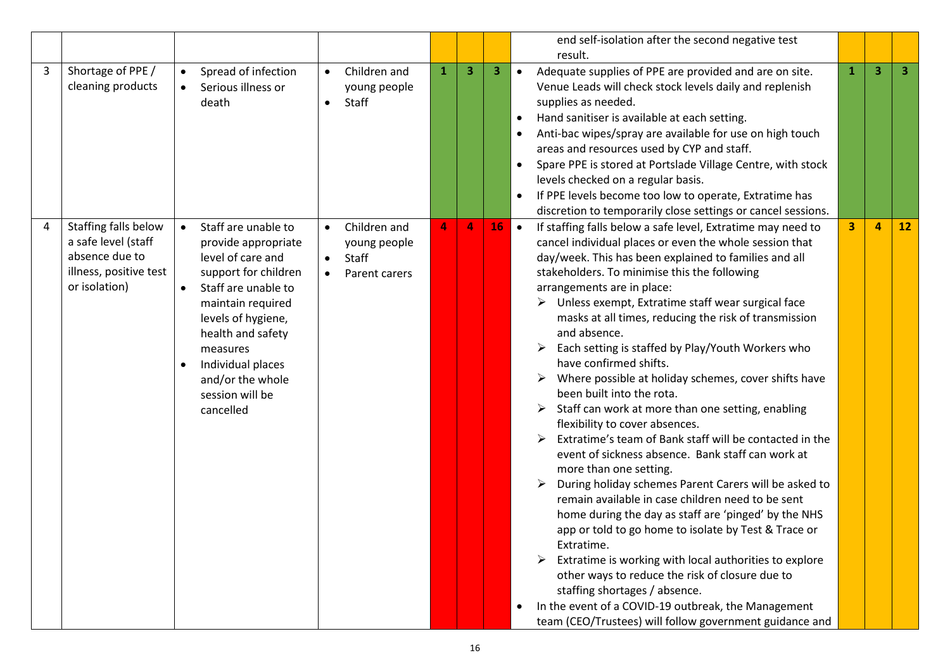|   |                                                                                                          |                                                                                                                                                                                                                                                                     |                                                                                                      |              |                         |           | end self-isolation after the second negative test                                                                                                                                                                                                                                                                                                                                                                                                                                                                                                                                                                                                                                                                                                                                                                                                                                                                                                                                                                                                                                                                                                                                                                                                                                                                                                       |              |   |                         |
|---|----------------------------------------------------------------------------------------------------------|---------------------------------------------------------------------------------------------------------------------------------------------------------------------------------------------------------------------------------------------------------------------|------------------------------------------------------------------------------------------------------|--------------|-------------------------|-----------|---------------------------------------------------------------------------------------------------------------------------------------------------------------------------------------------------------------------------------------------------------------------------------------------------------------------------------------------------------------------------------------------------------------------------------------------------------------------------------------------------------------------------------------------------------------------------------------------------------------------------------------------------------------------------------------------------------------------------------------------------------------------------------------------------------------------------------------------------------------------------------------------------------------------------------------------------------------------------------------------------------------------------------------------------------------------------------------------------------------------------------------------------------------------------------------------------------------------------------------------------------------------------------------------------------------------------------------------------------|--------------|---|-------------------------|
|   |                                                                                                          |                                                                                                                                                                                                                                                                     |                                                                                                      |              |                         |           | result.                                                                                                                                                                                                                                                                                                                                                                                                                                                                                                                                                                                                                                                                                                                                                                                                                                                                                                                                                                                                                                                                                                                                                                                                                                                                                                                                                 |              |   |                         |
| 3 | Shortage of PPE /<br>cleaning products                                                                   | Spread of infection<br>$\bullet$<br>Serious illness or<br>$\bullet$<br>death                                                                                                                                                                                        | Children and<br>$\bullet$<br>young people<br>$\bullet$<br>Staff                                      | $\mathbf{1}$ | $\overline{\mathbf{3}}$ | 3         | Adequate supplies of PPE are provided and are on site.<br>$\bullet$<br>Venue Leads will check stock levels daily and replenish<br>supplies as needed.<br>Hand sanitiser is available at each setting.<br>$\bullet$<br>Anti-bac wipes/spray are available for use on high touch<br>areas and resources used by CYP and staff.<br>Spare PPE is stored at Portslade Village Centre, with stock<br>$\bullet$<br>levels checked on a regular basis.<br>If PPE levels become too low to operate, Extratime has<br>$\bullet$<br>discretion to temporarily close settings or cancel sessions.                                                                                                                                                                                                                                                                                                                                                                                                                                                                                                                                                                                                                                                                                                                                                                   | $\mathbf{1}$ | 3 | $\overline{\mathbf{3}}$ |
| 4 | Staffing falls below<br>a safe level (staff<br>absence due to<br>illness, positive test<br>or isolation) | Staff are unable to<br>provide appropriate<br>level of care and<br>support for children<br>Staff are unable to<br>maintain required<br>levels of hygiene,<br>health and safety<br>measures<br>Individual places<br>and/or the whole<br>session will be<br>cancelled | Children and<br>$\bullet$<br>young people<br>$\bullet$<br><b>Staff</b><br>Parent carers<br>$\bullet$ | 4            | 4                       | <b>16</b> | $\bullet$<br>If staffing falls below a safe level, Extratime may need to<br>cancel individual places or even the whole session that<br>day/week. This has been explained to families and all<br>stakeholders. To minimise this the following<br>arrangements are in place:<br>Unless exempt, Extratime staff wear surgical face<br>masks at all times, reducing the risk of transmission<br>and absence.<br>Each setting is staffed by Play/Youth Workers who<br>have confirmed shifts.<br>Where possible at holiday schemes, cover shifts have<br>been built into the rota.<br>$\triangleright$ Staff can work at more than one setting, enabling<br>flexibility to cover absences.<br>Extratime's team of Bank staff will be contacted in the<br>event of sickness absence. Bank staff can work at<br>more than one setting.<br>During holiday schemes Parent Carers will be asked to<br>remain available in case children need to be sent<br>home during the day as staff are 'pinged' by the NHS<br>app or told to go home to isolate by Test & Trace or<br>Extratime.<br>Extratime is working with local authorities to explore<br>other ways to reduce the risk of closure due to<br>staffing shortages / absence.<br>In the event of a COVID-19 outbreak, the Management<br>$\bullet$<br>team (CEO/Trustees) will follow government guidance and | 3            | 4 | 12                      |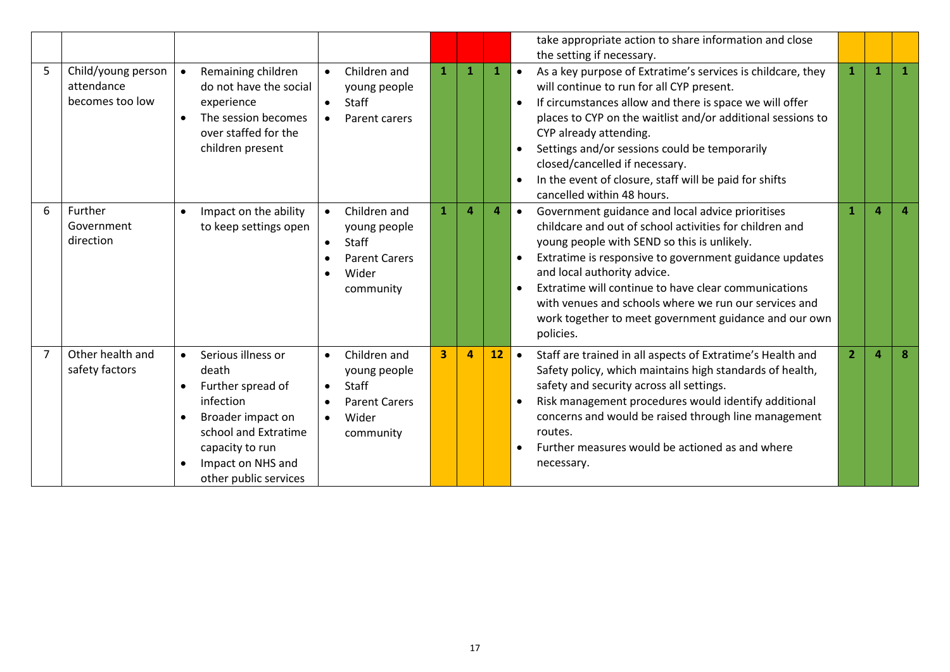|                |                                                     |                                                                                                                                                                                          |                                                                                                                                   |                         |              |                | take appropriate action to share information and close<br>the setting if necessary.                                                                                                                                                                                                                                                                                                                                                                     |                |              |              |
|----------------|-----------------------------------------------------|------------------------------------------------------------------------------------------------------------------------------------------------------------------------------------------|-----------------------------------------------------------------------------------------------------------------------------------|-------------------------|--------------|----------------|---------------------------------------------------------------------------------------------------------------------------------------------------------------------------------------------------------------------------------------------------------------------------------------------------------------------------------------------------------------------------------------------------------------------------------------------------------|----------------|--------------|--------------|
| 5              | Child/young person<br>attendance<br>becomes too low | Remaining children<br>do not have the social<br>experience<br>The session becomes<br>over staffed for the<br>children present                                                            | Children and<br>$\bullet$<br>young people<br>Staff<br>$\bullet$<br>Parent carers<br>$\bullet$                                     | 1                       | $\mathbf{1}$ | $\mathbf 1$    | As a key purpose of Extratime's services is childcare, they<br>$\bullet$<br>will continue to run for all CYP present.<br>If circumstances allow and there is space we will offer<br>places to CYP on the waitlist and/or additional sessions to<br>CYP already attending.<br>Settings and/or sessions could be temporarily<br>closed/cancelled if necessary.<br>In the event of closure, staff will be paid for shifts<br>cancelled within 48 hours.    | $\mathbf{1}$   | $\mathbf{1}$ | $\mathbf{1}$ |
| 6              | Further<br>Government<br>direction                  | Impact on the ability<br>$\bullet$<br>to keep settings open                                                                                                                              | Children and<br>$\bullet$<br>young people<br>Staff<br>$\bullet$<br><b>Parent Carers</b><br>Wider<br>community                     | $\mathbf{1}$            | $\Delta$     | $\overline{4}$ | Government guidance and local advice prioritises<br>$\bullet$<br>childcare and out of school activities for children and<br>young people with SEND so this is unlikely.<br>Extratime is responsive to government guidance updates<br>and local authority advice.<br>Extratime will continue to have clear communications<br>with venues and schools where we run our services and<br>work together to meet government guidance and our own<br>policies. | $\mathbf{1}$   | $\Delta$     | $\Delta$     |
| $\overline{7}$ | Other health and<br>safety factors                  | Serious illness or<br>$\bullet$<br>death<br>Further spread of<br>infection<br>Broader impact on<br>school and Extratime<br>capacity to run<br>Impact on NHS and<br>other public services | Children and<br>$\bullet$<br>young people<br><b>Staff</b><br>$\bullet$<br><b>Parent Carers</b><br>Wider<br>$\bullet$<br>community | $\overline{\mathbf{3}}$ | 4            | 12             | Staff are trained in all aspects of Extratime's Health and<br>$\bullet$<br>Safety policy, which maintains high standards of health,<br>safety and security across all settings.<br>Risk management procedures would identify additional<br>concerns and would be raised through line management<br>routes.<br>Further measures would be actioned as and where<br>necessary.                                                                             | 2 <sup>1</sup> | $\Delta$     | $\mathbf{R}$ |